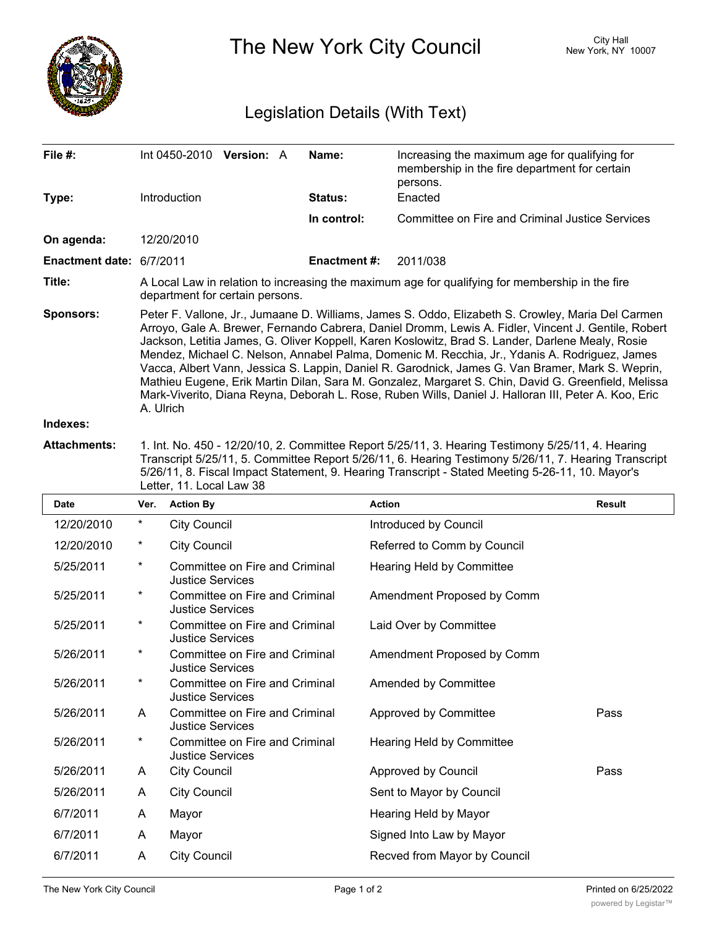

The New York City Council New York, NY 10007

## Legislation Details (With Text)

| File #:                  |                                                                                                                                                                                                                                                                                                                                                                                                                                                                                                                                                                                                                                                                                                                                               |                                                                                        | Int 0450-2010 Version: A       |  | Name:              | Increasing the maximum age for qualifying for<br>membership in the fire department for certain<br>persons. |               |  |
|--------------------------|-----------------------------------------------------------------------------------------------------------------------------------------------------------------------------------------------------------------------------------------------------------------------------------------------------------------------------------------------------------------------------------------------------------------------------------------------------------------------------------------------------------------------------------------------------------------------------------------------------------------------------------------------------------------------------------------------------------------------------------------------|----------------------------------------------------------------------------------------|--------------------------------|--|--------------------|------------------------------------------------------------------------------------------------------------|---------------|--|
| Type:                    |                                                                                                                                                                                                                                                                                                                                                                                                                                                                                                                                                                                                                                                                                                                                               | Introduction                                                                           |                                |  | <b>Status:</b>     | Enacted                                                                                                    |               |  |
|                          |                                                                                                                                                                                                                                                                                                                                                                                                                                                                                                                                                                                                                                                                                                                                               |                                                                                        |                                |  | In control:        | <b>Committee on Fire and Criminal Justice Services</b>                                                     |               |  |
| On agenda:               |                                                                                                                                                                                                                                                                                                                                                                                                                                                                                                                                                                                                                                                                                                                                               | 12/20/2010                                                                             |                                |  |                    |                                                                                                            |               |  |
| Enactment date: 6/7/2011 |                                                                                                                                                                                                                                                                                                                                                                                                                                                                                                                                                                                                                                                                                                                                               |                                                                                        |                                |  | <b>Enactment#:</b> | 2011/038                                                                                                   |               |  |
| Title:                   | A Local Law in relation to increasing the maximum age for qualifying for membership in the fire<br>department for certain persons.                                                                                                                                                                                                                                                                                                                                                                                                                                                                                                                                                                                                            |                                                                                        |                                |  |                    |                                                                                                            |               |  |
| <b>Sponsors:</b>         | Peter F. Vallone, Jr., Jumaane D. Williams, James S. Oddo, Elizabeth S. Crowley, Maria Del Carmen<br>Arroyo, Gale A. Brewer, Fernando Cabrera, Daniel Dromm, Lewis A. Fidler, Vincent J. Gentile, Robert<br>Jackson, Letitia James, G. Oliver Koppell, Karen Koslowitz, Brad S. Lander, Darlene Mealy, Rosie<br>Mendez, Michael C. Nelson, Annabel Palma, Domenic M. Recchia, Jr., Ydanis A. Rodriguez, James<br>Vacca, Albert Vann, Jessica S. Lappin, Daniel R. Garodnick, James G. Van Bramer, Mark S. Weprin,<br>Mathieu Eugene, Erik Martin Dilan, Sara M. Gonzalez, Margaret S. Chin, David G. Greenfield, Melissa<br>Mark-Viverito, Diana Reyna, Deborah L. Rose, Ruben Wills, Daniel J. Halloran III, Peter A. Koo, Eric<br>A. Ulrich |                                                                                        |                                |  |                    |                                                                                                            |               |  |
| Indexes:                 |                                                                                                                                                                                                                                                                                                                                                                                                                                                                                                                                                                                                                                                                                                                                               |                                                                                        |                                |  |                    |                                                                                                            |               |  |
| <b>Attachments:</b>      | 1. Int. No. 450 - 12/20/10, 2. Committee Report 5/25/11, 3. Hearing Testimony 5/25/11, 4. Hearing<br>Transcript 5/25/11, 5. Committee Report 5/26/11, 6. Hearing Testimony 5/26/11, 7. Hearing Transcript<br>5/26/11, 8. Fiscal Impact Statement, 9. Hearing Transcript - Stated Meeting 5-26-11, 10. Mayor's<br>Letter, 11. Local Law 38                                                                                                                                                                                                                                                                                                                                                                                                     |                                                                                        |                                |  |                    |                                                                                                            |               |  |
| Date                     | Ver.                                                                                                                                                                                                                                                                                                                                                                                                                                                                                                                                                                                                                                                                                                                                          | <b>Action By</b>                                                                       |                                |  |                    | <b>Action</b>                                                                                              | <b>Result</b> |  |
| 12/20/2010               | $\ast$                                                                                                                                                                                                                                                                                                                                                                                                                                                                                                                                                                                                                                                                                                                                        | <b>City Council</b>                                                                    |                                |  |                    | Introduced by Council                                                                                      |               |  |
| 12/20/2010               | $\ast$                                                                                                                                                                                                                                                                                                                                                                                                                                                                                                                                                                                                                                                                                                                                        | <b>City Council</b>                                                                    |                                |  |                    | Referred to Comm by Council                                                                                |               |  |
| 5/25/2011                | *                                                                                                                                                                                                                                                                                                                                                                                                                                                                                                                                                                                                                                                                                                                                             | Committee on Fire and Criminal<br>Hearing Held by Committee<br><b>Justice Services</b> |                                |  |                    |                                                                                                            |               |  |
| 5/25/2011                | $\ast$                                                                                                                                                                                                                                                                                                                                                                                                                                                                                                                                                                                                                                                                                                                                        | <b>Justice Services</b>                                                                | Committee on Fire and Criminal |  |                    | Amendment Proposed by Comm                                                                                 |               |  |
| 5/25/2011                | $^\ast$                                                                                                                                                                                                                                                                                                                                                                                                                                                                                                                                                                                                                                                                                                                                       | <b>Justice Services</b>                                                                | Committee on Fire and Criminal |  |                    | Laid Over by Committee                                                                                     |               |  |
| 5/26/2011                | $\ast$                                                                                                                                                                                                                                                                                                                                                                                                                                                                                                                                                                                                                                                                                                                                        | <b>Justice Services</b>                                                                | Committee on Fire and Criminal |  |                    | Amendment Proposed by Comm                                                                                 |               |  |
| 5/26/2011                | $\star$                                                                                                                                                                                                                                                                                                                                                                                                                                                                                                                                                                                                                                                                                                                                       | <b>Justice Services</b>                                                                | Committee on Fire and Criminal |  |                    | Amended by Committee                                                                                       |               |  |
| 5/26/2011                | A                                                                                                                                                                                                                                                                                                                                                                                                                                                                                                                                                                                                                                                                                                                                             | <b>Justice Services</b>                                                                | Committee on Fire and Criminal |  |                    | Approved by Committee                                                                                      | Pass          |  |
| 5/26/2011                | $\ast$                                                                                                                                                                                                                                                                                                                                                                                                                                                                                                                                                                                                                                                                                                                                        | <b>Justice Services</b>                                                                | Committee on Fire and Criminal |  |                    | Hearing Held by Committee                                                                                  |               |  |
| 5/26/2011                | A                                                                                                                                                                                                                                                                                                                                                                                                                                                                                                                                                                                                                                                                                                                                             | <b>City Council</b>                                                                    |                                |  |                    | Approved by Council                                                                                        | Pass          |  |
| 5/26/2011                | A                                                                                                                                                                                                                                                                                                                                                                                                                                                                                                                                                                                                                                                                                                                                             | <b>City Council</b>                                                                    |                                |  |                    | Sent to Mayor by Council                                                                                   |               |  |
| 6/7/2011                 | A                                                                                                                                                                                                                                                                                                                                                                                                                                                                                                                                                                                                                                                                                                                                             | Mayor                                                                                  |                                |  |                    | Hearing Held by Mayor                                                                                      |               |  |
| 6/7/2011                 | A                                                                                                                                                                                                                                                                                                                                                                                                                                                                                                                                                                                                                                                                                                                                             | Mayor                                                                                  |                                |  |                    | Signed Into Law by Mayor                                                                                   |               |  |

6/7/2011 A City Council **Recved from Mayor by Council**